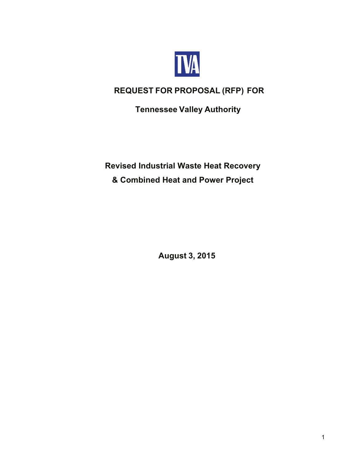

# **REQUEST FOR PROPOSAL (RFP) FOR**

**Tennessee Valley Authority**

# **Revised Industrial Waste Heat Recovery & Combined Heat and Power Project**

**August 3, 2015**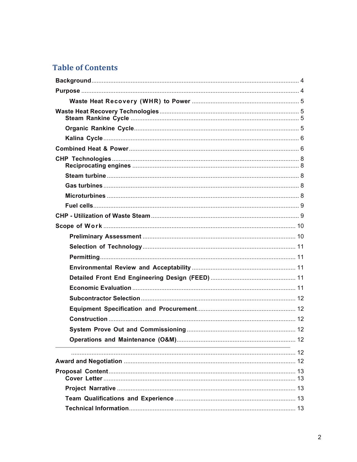## **Table of Contents**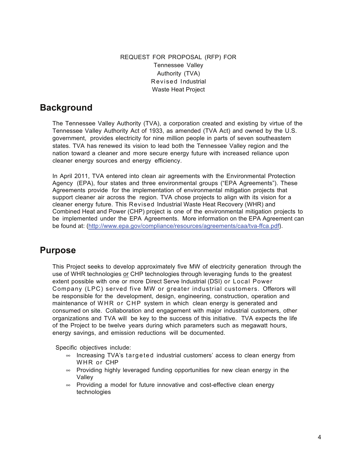REQUEST FOR PROPOSAL (RFP) FOR Tennessee Valley Authority (TVA) Revised Industrial Waste Heat Project

### **Background**

The Tennessee Valley Authority (TVA), a corporation created and existing by virtue of the Tennessee Valley Authority Act of 1933, as amended (TVA Act) and owned by the U.S. government, provides electricity for nine million people in parts of seven southeastern states. TVA has renewed its vision to lead both the Tennessee Valley region and the nation toward a cleaner and more secure energy future with increased reliance upon cleaner energy sources and energy efficiency.

In April 2011, TVA entered into clean air agreements with the Environmental Protection Agency (EPA), four states and three environmental groups ("EPA Agreements"). These Agreements provide for the implementation of environmental mitigation projects that support cleaner air across the region. TVA chose projects to align with its vision for a cleaner energy future. This Revised Industrial Waste Heat Recovery (WHR) and Combined Heat and Power (CHP) project is one of the environmental mitigation projects to be implemented under the EPA Agreements. More information on the EPA Agreement can be found at: (http://www.epa.gov/compliance/resources/agreements/caa/tva-ffca.pdf).

## **Purpose**

This Project seeks to develop approximately five MW of electricity generation through the use of WHR technologies or CHP technologies through leveraging funds to the greatest extent possible with one or more Direct Serve Industrial (DSI) or Local Power Company (LPC) served five MW or greater industrial customers. Offerors will be responsible for the development, design, engineering, construction, operation and maintenance of WHR or CHP system in which clean energy is generated and consumed on site. Collaboration and engagement with major industrial customers, other organizations and TVA will be key to the success of this initiative. TVA expects the life of the Project to be twelve years during which parameters such as megawatt hours, energy savings, and emission reductions will be documented.

Specific objectives include:

- $\infty$  Increasing TVA's targeted industrial customers' access to clean energy from WHR or CHP
- $\infty$  Providing highly leveraged funding opportunities for new clean energy in the Valley
- $\infty$  Providing a model for future innovative and cost-effective clean energy technologies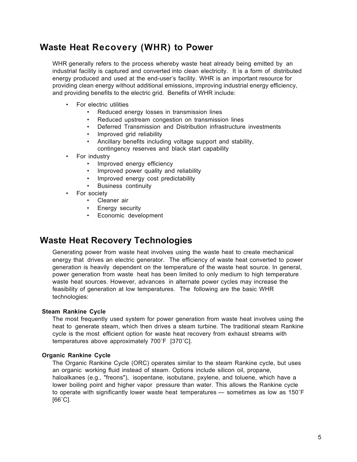# **Waste Heat Recovery (WHR) to Power**

WHR generally refers to the process whereby waste heat already being emitted by an industrial facility is captured and converted into clean electricity. It is a form of distributed energy produced and used at the end-user's facility. WHR is an important resource for providing clean energy without additional emissions, improving industrial energy efficiency, and providing benefits to the electric grid. Benefits of WHR include:

- For electric utilities
	- Reduced energy losses in transmission lines
	- Reduced upstream congestion on transmission lines
	- Deferred Transmission and Distribution infrastructure investments
	- Improved grid reliability
	- Ancillary benefits including voltage support and stability,
	- contingency reserves and black start capability
- For industry
	- Improved energy efficiency
	- Improved power quality and reliability
	- Improved energy cost predictability
	- Business continuity
- For society
	- Cleaner air
	- Energy security
	- Economic development

## **Waste Heat Recovery Technologies**

Generating power from waste heat involves using the waste heat to create mechanical energy that drives an electric generator. The efficiency of waste heat converted to power generation is heavily dependent on the temperature of the waste heat source. In general, power generation from waste heat has been limited to only medium to high temperature waste heat sources. However, advances in alternate power cycles may increase the feasibility of generation at low temperatures. The following are the basic WHR technologies:

#### **Steam Rankine Cycle**

The most frequently used system for power generation from waste heat involves using the heat to generate steam, which then drives a steam turbine. The traditional steam Rankine cycle is the most efficient option for waste heat recovery from exhaust streams with temperatures above approximately 700˚F [370˚C].

#### **Organic Rankine Cycle**

The Organic Rankine Cycle (ORC) operates similar to the steam Rankine cycle, but uses an organic working fluid instead of steam. Options include silicon oil, propane, haloalkanes (e.g., "freons"), isopentane, isobutane, pxylene, and toluene, which have a lower boiling point and higher vapor pressure than water. This allows the Rankine cycle to operate with significantly lower waste heat temperatures — sometimes as low as 150˚F  $[66^{\circ}$ C].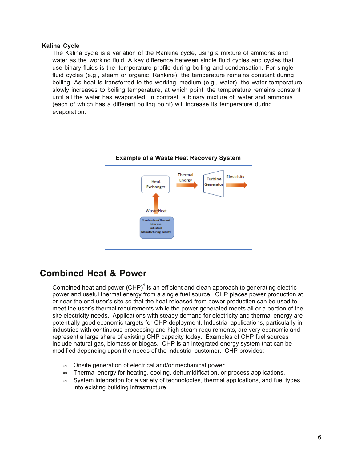### **Kalina Cycle**

The Kalina cycle is a variation of the Rankine cycle, using a mixture of ammonia and water as the working fluid. A key difference between single fluid cycles and cycles that use binary fluids is the temperature profile during boiling and condensation. For single fluid cycles (e.g., steam or organic Rankine), the temperature remains constant during boiling. As heat is transferred to the working medium (e.g., water), the water temperature slowly increases to boiling temperature, at which point the temperature remains constant until all the water has evaporated. In contrast, a binary mixture of water and ammonia (each of which has a different boiling point) will increase its temperature during evaporation.



#### **Example of a Waste Heat Recovery System**

### **Combined Heat & Power**

Combined heat and power  $(CHP)^1$  is an efficient and clean approach to generating electric power and useful thermal energy from a single fuel source. CHP places power production at or near the end-user's site so that the heat released from power production can be used to meet the user's thermal requirements while the power generated meets all or a portion of the site electricity needs. Applications with steady demand for electricity and thermal energy are potentially good economic targets for CHP deployment. Industrial applications, particularly in industries with continuous processing and high steam requirements, are very economic and represent a large share of existing CHP capacity today. Examples of CHP fuel sources include natural gas, biomass or biogas. CHP is an integrated energy system that can be modified depending upon the needs of the industrial customer. CHP provides:

- $\infty$  Onsite generation of electrical and/or mechanical power.
- $\infty$  Thermal energy for heating, cooling, dehumidification, or process applications.
- $\infty$  System integration for a variety of technologies, thermal applications, and fuel types into existing building infrastructure.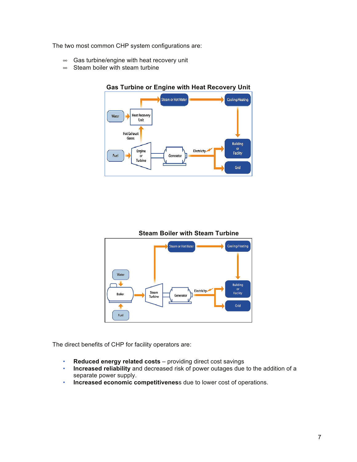The two most common CHP system configurations are:

- $\infty$  Gas turbine/engine with heat recovery unit
- $\infty$  Steam boiler with steam turbine



### **Gas Turbine or Engine with Heat Recovery Unit**



Generato

Electricity

or<br>Facility

Grid

The direct benefits of CHP for facility operators are:

Boiler

♠ Fuel

• Reduced energy related costs - providing direct cost savings

Steam<br>Turbine

- **Increased reliability** and decreased risk of power outages due to the addition of a separate power supply.
- **Increased economic competitivenes**s due to lower cost of operations.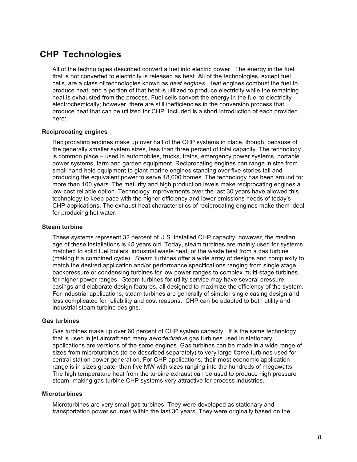## **CHP Technologies**

All of the technologies described convert a fuel into electric power. The energy in the fuel that is not converted to electricity is released as heat. All of the technologies, except fuel cells, are a class of technologies known as *heat engines*. Heat engines combust the fuel to produce heat, and a portion of that heat is utilized to produce electricity while the remaining heat is exhausted from the process. Fuel cells convert the energy in the fuel to electricity electrochemically;; however, there are still inefficiencies in the conversion process that produce heat that can be utilized for CHP. Included is a short introduction of each provided here:

### **Reciprocating engines**

Reciprocating engines make up over half of the CHP systems in place, though, because of the generally smaller system sizes, less than three percent of total capacity. The technology is common place – used in automobiles, trucks, trains, emergency power systems, portable power systems, farm and garden equipment. Reciprocating engines can range in size from small hand-held equipment to giant marine engines standing over five-stories tall and producing the equivalent power to serve 18,000 homes. The technology has been around for more than 100 years. The maturity and high production levels make reciprocating engines a low-cost reliable option. Technology improvements over the last 30 years have allowed this technology to keep pace with the higher efficiency and lower emissions needs of today's CHP applications. The exhaust heat characteristics of reciprocating engines make them ideal for producing hot water.

#### **Steam turbine**

These systems represent 32 percent of U.S. installed CHP capacity; however, the median age of these installations is 45 years old. Today, steam turbines are mainly used for systems matched to solid fuel boilers, industrial waste heat, or the waste heat from a gas turbine (making it a combined cycle). Steam turbines offer a wide array of designs and complexity to match the desired application and/or performance specifications ranging from single stage backpressure or condensing turbines for low power ranges to complex multi-stage turbines for higher power ranges. Steam turbines for utility service may have several pressure casings and elaborate design features, all designed to maximize the efficiency of the system. For industrial applications, steam turbines are generally of simpler single casing design and less complicated for reliability and cost reasons. CHP can be adapted to both utility and industrial steam turbine designs.

### **Gas turbines**

Gas turbines make up over 60 percent of CHP system capacity. It is the same technology that is used in jet aircraft and many *aeroderivative* gas turbines used in stationary applications are versions of the same engines. Gas turbines can be made in a wide range of sizes from microturbines (to be described separately) to very large *frame* turbines used for central station power generation. For CHP applications, their most economic application range is in sizes greater than five MW with sizes ranging into the hundreds of megawatts. The high temperature heat from the turbine exhaust can be used to produce high pressure steam, making gas turbine CHP systems very attractive for process industries.

#### **Microturbines**

Microturbines are very small gas turbines. They were developed as stationary and transportation power sources within the last 30 years. They were originally based on the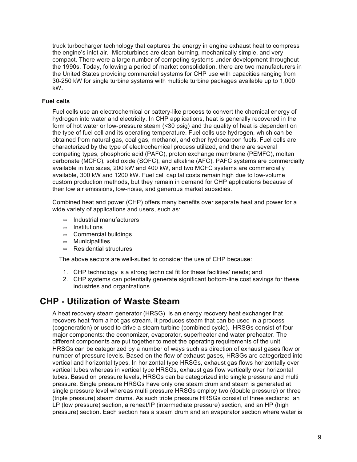truck turbocharger technology that captures the energy in engine exhaust heat to compress the engine's inlet air. Microturbines are clean-burning, mechanically simple, and very compact. There were a large number of competing systems under development throughout the 1990s. Today, following a period of market consolidation, there are two manufacturers in the United States providing commercial systems for CHP use with capacities ranging from 30-250 kW for single turbine systems with multiple turbine packages available up to 1,000 kW.

### **Fuel cells**

Fuel cells use an electrochemical or battery-like process to convert the chemical energy of hydrogen into water and electricity. In CHP applications, heat is generally recovered in the form of hot water or low-pressure steam (<30 psig) and the quality of heat is dependent on the type of fuel cell and its operating temperature. Fuel cells use hydrogen, which can be obtained from natural gas, coal gas, methanol, and other hydrocarbon fuels. Fuel cells are characterized by the type of electrochemical process utilized, and there are several competing types, phosphoric acid (PAFC), proton exchange membrane (PEMFC), molten carbonate (MCFC), solid oxide (SOFC), and alkaline (AFC). PAFC systems are commercially available in two sizes, 200 kW and 400 kW, and two MCFC systems are commercially available, 300 kW and 1200 kW. Fuel cell capital costs remain high due to low-volume custom production methods, but they remain in demand for CHP applications because of their low air emissions, low-noise, and generous market subsidies.

Combined heat and power (CHP) offers many benefits over separate heat and power for a wide variety of applications and users, such as:

- $\infty$  Industrial manufacturers
- $\infty$  Institutions
- $\infty$  Commercial buildings
- $\infty$  Municipalities
- $\infty$  Residential structures

The above sectors are well-suited to consider the use of CHP because:

- 1. CHP technology is a strong technical fit for these facilities' needs; and
- 2. CHP systems can potentially generate significant bottom-line cost savings for these industries and organizations

## **CHP - Utilization of Waste Steam**

A heat recovery steam generator (HRSG) is an energy recovery heat exchanger that recovers heat from a hot gas stream. It produces steam that can be used in a process (cogeneration) or used to drive a steam turbine (combined cycle). HRSGs consist of four major components: the economizer, evaporator, superheater and water preheater. The different components are put together to meet the operating requirements of the unit. HRSGs can be categorized by a number of ways such as direction of exhaust gases flow or number of pressure levels. Based on the flow of exhaust gases, HRSGs are categorized into vertical and horizontal types. In horizontal type HRSGs, exhaust gas flows horizontally over vertical tubes whereas in vertical type HRSGs, exhaust gas flow vertically over horizontal tubes. Based on pressure levels, HRSGs can be categorized into single pressure and multi pressure. Single pressure HRSGs have only one steam drum and steam is generated at single pressure level whereas multi pressure HRSGs employ two (double pressure) or three (triple pressure) steam drums. As such triple pressure HRSGs consist of three sections: an LP (low pressure) section, a reheat/IP (intermediate pressure) section, and an HP (high pressure) section. Each section has a steam drum and an evaporator section where water is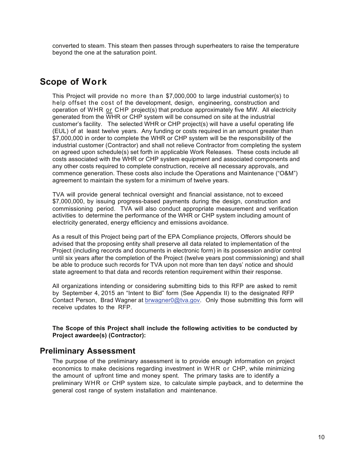converted to steam. This steam then passes through superheaters to raise the temperature beyond the one at the saturation point.

## **Scope of Work**

This Project will provide no more than \$7,000,000 to large industrial customer(s) to help offset the cost of the development, design, engineering, construction and operation of WHR or CHP project(s) that produce approximately five MW. All electricity generated from the WHR or CHP system will be consumed on site at the industrial customer's facility. The selected WHR or CHP project(s) will have a useful operating life (EUL) of at least twelve years. Any funding or costs required in an amount greater than \$7,000,000 in order to complete the WHR or CHP system will be the responsibility of the industrial customer (Contractor) and shall not relieve Contractor from completing the system on agreed upon schedule(s) set forth in applicable Work Releases. These costs include all costs associated with the WHR or CHP system equipment and associated components and any other costs required to complete construction, receive all necessary approvals, and commence generation. These costs also include the Operations and Maintenance ("O&M") agreement to maintain the system for a minimum of twelve years.

TVA will provide general technical oversight and financial assistance, not to exceed \$7,000,000, by issuing progress-based payments during the design, construction and commissioning period. TVA will also conduct appropriate measurement and verification activities to determine the performance of the WHR or CHP system including amount of electricity generated, energy efficiency and emissions avoidance.

As a result of this Project being part of the EPA Compliance projects, Offerors should be advised that the proposing entity shall preserve all data related to implementation of the Project (including records and documents in electronic form) in its possession and/or control until six years after the completion of the Project (twelve years post commissioning) and shall be able to produce such records for TVA upon not more than ten days' notice and should state agreement to that data and records retention requirement within their response.

All organizations intending or considering submitting bids to this RFP are asked to remit by September 4, 2015 an "Intent to Bid" form (See Appendix II) to the designated RFP Contact Person, Brad Wagner at brwagner0@tva.gov. Only those submitting this form will receive updates to the RFP.

**The Scope of this Project shall include the following activities to be conducted by Project awardee(s) (Contractor):**

### **Preliminary Assessment**

The purpose of the preliminary assessment is to provide enough information on project economics to make decisions regarding investment in WHR or CHP, while minimizing the amount of upfront time and money spent. The primary tasks are to identify a preliminary WHR or CHP system size, to calculate simple payback, and to determine the general cost range of system installation and maintenance.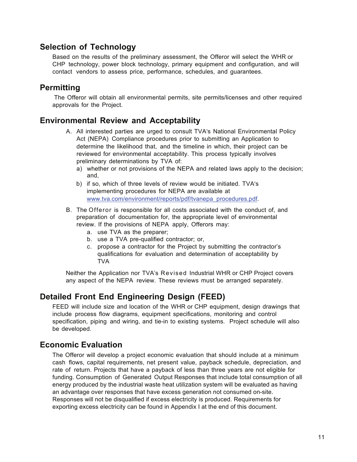### **Selection of Technology**

Based on the results of the preliminary assessment, the Offeror will select the WHR or CHP technology, power block technology, primary equipment and configuration, and will contact vendors to assess price, performance, schedules, and guarantees.

### **Permitting**

The Offeror will obtain all environmental permits, site permits/licenses and other required approvals for the Project.

### **Environmental Review and Acceptability**

- A. All interested parties are urged to consult TVA's National Environmental Policy Act (NEPA) Compliance procedures prior to submitting an Application to determine the likelihood that, and the timeline in which, their project can be reviewed for environmental acceptability. This process typically involves preliminary determinations by TVA of:
	- a) whether or not provisions of the NEPA and related laws apply to the decision;; and,
	- b) if so, which of three levels of review would be initiated. TVA's implementing procedures for NEPA are available at www.tva.com/environment/reports/pdf/tvanepa\_procedures.pdf.
- B. The Offeror is responsible for all costs associated with the conduct of, and preparation of documentation for, the appropriate level of environmental review. If the provisions of NEPA apply, Offerors may:
	- a. use TVA as the preparer;;
	- b. use a TVA pre-qualified contractor; or,
	- c. propose a contractor for the Project by submitting the contractor's qualifications for evaluation and determination of acceptability by TVA

Neither the Application nor TVA's Revised Industrial WHR or CHP Project covers any aspect of the NEPA review. These reviews must be arranged separately.

### **Detailed Front End Engineering Design (FEED)**

FEED will include size and location of the WHR or CHP equipment, design drawings that include process flow diagrams, equipment specifications, monitoring and control specification, piping and wiring, and tie-in to existing systems. Project schedule will also be developed.

### **Economic Evaluation**

The Offeror will develop a project economic evaluation that should include at a minimum cash flows, capital requirements, net present value, payback schedule, depreciation, and rate of return. Projects that have a payback of less than three years are not eligible for funding. Consumption of Generated Output Responses that include total consumption of all energy produced by the industrial waste heat utilization system will be evaluated as having an advantage over responses that have excess generation not consumed on-site. Responses will not be disqualified if excess electricity is produced. Requirements for exporting excess electricity can be found in Appendix I at the end of this document.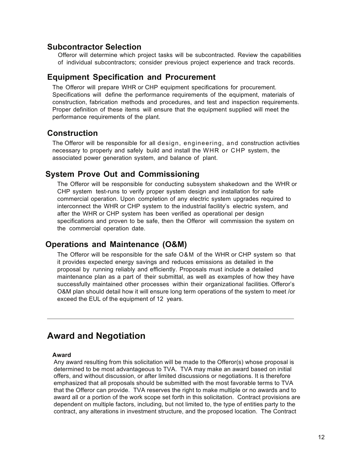### **Subcontractor Selection**

Offeror will determine which project tasks will be subcontracted. Review the capabilities of individual subcontractors;; consider previous project experience and track records.

### **Equipment Specification and Procurement**

The Offeror will prepare WHR or CHP equipment specifications for procurement. Specifications will define the performance requirements of the equipment, materials of construction, fabrication methods and procedures, and test and inspection requirements. Proper definition of these items will ensure that the equipment supplied will meet the performance requirements of the plant.

### **Construction**

The Offeror will be responsible for all design, engineering, and construction activities necessary to properly and safely build and install the WHR or CHP system, the associated power generation system, and balance of plant.

### **System Prove Out and Commissioning**

The Offeror will be responsible for conducting subsystem shakedown and the WHR or CHP system test-runs to verify proper system design and installation for safe commercial operation. Upon completion of any electric system upgrades required to interconnect the WHR or CHP system to the industrial facility's electric system, and after the WHR or CHP system has been verified as operational per design specifications and proven to be safe, then the Offeror will commission the system on the commercial operation date.

### **Operations and Maintenance (O&M)**

The Offeror will be responsible for the safe O&M of the WHR or CHP system so that it provides expected energy savings and reduces emissions as detailed in the proposal by running reliably and efficiently. Proposals must include a detailed maintenance plan as a part of their submittal, as well as examples of how they have successfully maintained other processes within their organizational facilities. Offeror's O&M plan should detail how it will ensure long term operations of the system to meet /or exceed the EUL of the equipment of 12 years.

### **Award and Negotiation**

#### **Award**

Any award resulting from this solicitation will be made to the Offeror(s) whose proposal is determined to be most advantageous to TVA. TVA may make an award based on initial offers, and without discussion, or after limited discussions or negotiations. It is therefore emphasized that all proposals should be submitted with the most favorable terms to TVA that the Offeror can provide. TVA reserves the right to make multiple or no awards and to award all or a portion of the work scope set forth in this solicitation. Contract provisions are dependent on multiple factors, including, but not limited to, the type of entities party to the contract, any alterations in investment structure, and the proposed location. The Contract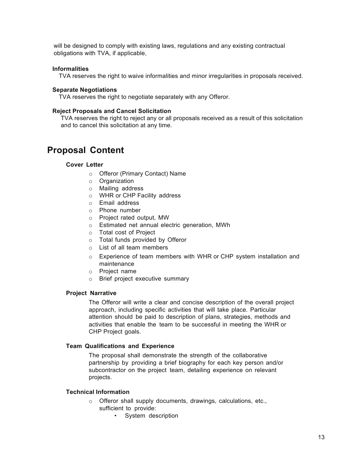will be designed to comply with existing laws, regulations and any existing contractual obligations with TVA, if applicable.

#### **Informalities**

TVA reserves the right to waive informalities and minor irregularities in proposals received.

#### **Separate Negotiations**

TVA reserves the right to negotiate separately with any Offeror.

#### **Reject Proposals and Cancel Solicitation**

TVA reserves the right to reject any or all proposals received as a result of this solicitation and to cancel this solicitation at any time.

## **Proposal Content**

### **Cover Letter**

- o Offeror (Primary Contact) Name
- o Organization
- o Mailing address
- o WHR or CHP Facility address
- o Email address
- o Phone number
- o Project rated output, MW
- o Estimated net annual electric generation, MWh
- o Total cost of Project
- o Total funds provided by Offeror
- o List of all team members
- o Experience of team members with WHR or CHP system installation and maintenance
- o Project name
- o Brief project executive summary

### **Project Narrative**

The Offeror will write a clear and concise description of the overall project approach, including specific activities that will take place. Particular attention should be paid to description of plans, strategies, methods and activities that enable the team to be successful in meeting the WHR or CHP Project goals.

#### **Team Qualifications and Experience**

The proposal shall demonstrate the strength of the collaborative partnership by providing a brief biography for each key person and/or subcontractor on the project team, detailing experience on relevant projects.

#### **Technical Information**

- o Offeror shall supply documents, drawings, calculations, etc., sufficient to provide:
	- System description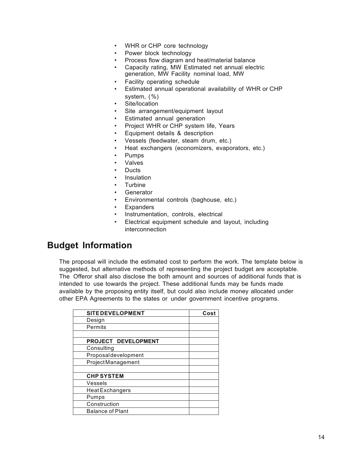- WHR or CHP core technology
- Power block technology
- Process flow diagram and heat/material balance
- Capacity rating, MW Estimated net annual electric generation, MW Facility nominal load, MW
- Facility operating schedule
- Estimated annual operational availability of WHR or CHP system, (%)
- Site/location
- Site arrangement/equipment layout
- Estimated annual generation
- Project WHR or CHP system life, Years
- Equipment details & description
- Vessels (feedwater, steam drum, etc.)
- Heat exchangers (economizers, evaporators, etc.)
- Pumps
- **Valves**
- Ducts
- Insulation
- **Turbine**
- **Generator**
- Environmental controls (baghouse, etc.)
- **Expanders**
- Instrumentation, controls, electrical
- Electrical equipment schedule and layout, including interconnection

## **Budget Information**

The proposal will include the estimated cost to perform the work. The template below is suggested, but alternative methods of representing the project budget are acceptable. The Offeror shall also disclose the both amount and sources of additional funds that is intended to use towards the project. These additional funds may be funds made available by the proposing entity itself, but could also include money allocated under other EPA Agreements to the states or under government incentive programs.

| <b>SITE DEVELOPMENT</b>  | Cost |
|--------------------------|------|
| Design                   |      |
| Permits                  |      |
|                          |      |
| PROJECT DEVELOPMENT      |      |
| Consulting               |      |
| Proposaldevelopment      |      |
| <b>ProjectManagement</b> |      |
|                          |      |
| <b>CHP SYSTEM</b>        |      |
| Vessels                  |      |
| <b>Heat Exchangers</b>   |      |
| Pumps                    |      |
| Construction             |      |
| <b>Balance of Plant</b>  |      |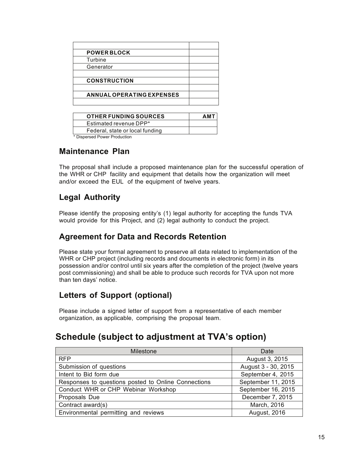| <b>OTHER FUNDING SOURCES</b>    | <b>AMT</b> |
|---------------------------------|------------|
| Estimated revenue DPP*          |            |
| Federal, state or local funding |            |
| * Dienersed Power Production    |            |

Dispersed Power Production

### **Maintenance Plan**

The proposal shall include a proposed maintenance plan for the successful operation of the WHR or CHP facility and equipment that details how the organization will meet and/or exceed the EUL of the equipment of twelve years.

## **Legal Authority**

Please identify the proposing entity's (1) legal authority for accepting the funds TVA would provide for this Project, and (2) legal authority to conduct the project.

### **Agreement for Data and Records Retention**

Please state your formal agreement to preserve all data related to implementation of the WHR or CHP project (including records and documents in electronic form) in its possession and/or control until six years after the completion of the project (twelve years post commissioning) and shall be able to produce such records for TVA upon not more than ten days' notice.

## **Letters of Support (optional)**

Please include a signed letter of support from a representative of each member organization, as applicable, comprising the proposal team.

# **Schedule (subject to adjustment at TVA's option)**

| <b>Milestone</b>                                    | Date                |
|-----------------------------------------------------|---------------------|
| <b>RFP</b>                                          | August 3, 2015      |
| Submission of questions                             | August 3 - 30, 2015 |
| Intent to Bid form due                              | September 4, 2015   |
| Responses to questions posted to Online Connections | September 11, 2015  |
| Conduct WHR or CHP Webinar Workshop                 | September 16, 2015  |
| Proposals Due                                       | December 7, 2015    |
| Contract award(s)                                   | March, 2016         |
| Environmental permitting and reviews                | August, 2016        |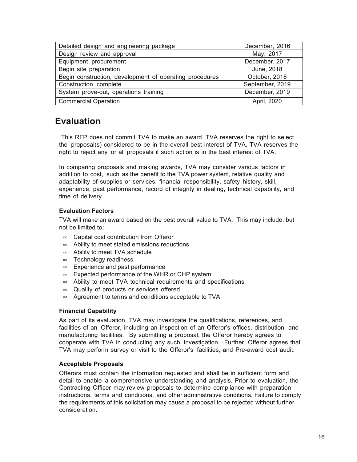| Detailed design and engineering package                 | December, 2016  |
|---------------------------------------------------------|-----------------|
| Design review and approval                              | May, 2017       |
| Equipment procurement                                   | December, 2017  |
| Begin site preparation                                  | June, 2018      |
| Begin construction, development of operating procedures | October, 2018   |
| Construction complete                                   | September, 2019 |
| System prove-out, operations training                   | December, 2019  |
| <b>Commercial Operation</b>                             | April, 2020     |

# **Evaluation**

This RFP does not commit TVA to make an award. TVA reserves the right to select the proposal(s) considered to be in the overall best interest of TVA. TVA reserves the right to reject any or all proposals if such action is in the best interest of TVA.

In comparing proposals and making awards, TVA may consider various factors in addition to cost, such as the benefit to the TVA power system, relative quality and adaptability of supplies or services, financial responsibility, safety history, skill, experience, past performance, record of integrity in dealing, technical capability, and time of delivery.

### **Evaluation Factors**

TVA will make an award based on the best overall value to TVA. This may include, but not be limited to:

- $\infty$  Capital cost contribution from Offeror
- $\infty$  Ability to meet stated emissions reductions
- $\infty$  Ability to meet TVA schedule
- $\infty$  Technology readiness
- $\infty$  Experience and past performance
- $\infty$  Expected performance of the WHR or CHP system
- $\infty$  Ability to meet TVA technical requirements and specifications
- $\infty$  Quality of products or services offered
- $\infty$  Agreement to terms and conditions acceptable to TVA

### **Financial Capability**

As part of its evaluation, TVA may investigate the qualifications, references, and facilities of an Offeror, including an inspection of an Offeror's offices, distribution, and manufacturing facilities. By submitting a proposal, the Offeror hereby agrees to cooperate with TVA in conducting any such investigation. Further, Offeror agrees that TVA may perform survey or visit to the Offeror's facilities, and Pre*-*award cost audit.

### **Acceptable Proposals**

Offerors must contain the information requested and shall be in sufficient form and detail to enable a comprehensive understanding and analysis. Prior to evaluation, the Contracting Officer may review proposals to determine compliance with preparation instructions, terms and conditions, and other administrative conditions. Failure to comply the requirements of this solicitation may cause a proposal to be rejected without further consideration.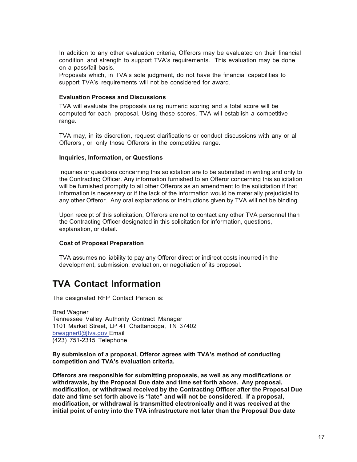In addition to any other evaluation criteria, Offerors may be evaluated on their financial condition and strength to support TVA's requirements. This evaluation may be done on a pass/fail basis.

Proposals which, in TVA's sole judgment, do not have the financial capabilities to support TVA's requirements will not be considered for award.

### **Evaluation Process and Discussions**

TVA will evaluate the proposals using numeric scoring and a total score will be computed for each proposal. Using these scores, TVA will establish a competitive range.

TVA may, in its discretion, request clarifications or conduct discussions with any or all Offerors, or only those Offerors in the competitive range.

### **Inquiries, Information, or Questions**

Inquiries or questions concerning this solicitation are to be submitted in writing and only to the Contracting Officer. Any information furnished to an Offeror concerning this solicitation will be furnished promptly to all other Offerors as an amendment to the solicitation if that information is necessary or if the lack of the information would be materially prejudicial to any other Offeror. Any oral explanations or instructions given by TVA will not be binding.

Upon receipt of this solicitation, Offerors are not to contact any other TVA personnel than the Contracting Officer designated in this solicitation for information, questions, explanation, or detail.

#### **Cost of Proposal Preparation**

TVA assumes no liability to pay any Offeror direct or indirect costs incurred in the development, submission, evaluation, or negotiation of its proposal.

## **TVA Contact Information**

The designated RFP Contact Person is:

Brad Wagner Tennessee Valley Authority Contract Manager 1101 Market Street, LP 4T Chattanooga, TN 37402 brwagner0@tva.gov Email (423) 751-2315 Telephone

#### **By submission of a proposal, Offeror agrees with TVA's method of conducting competition and TVA's evaluation criteria.**

**Offerors are responsible for submitting proposals, as well as any modifications or withdrawals, by the Proposal Due date and time set forth above. Any proposal, modification, or withdrawal received by the Contracting Officer after the Proposal Due**  date and time set forth above is "late" and will not be considered. If a proposal, **modification, or withdrawal is transmitted electronically and it was received at the initial point of entry into the TVA infrastructure not later than the Proposal Due date**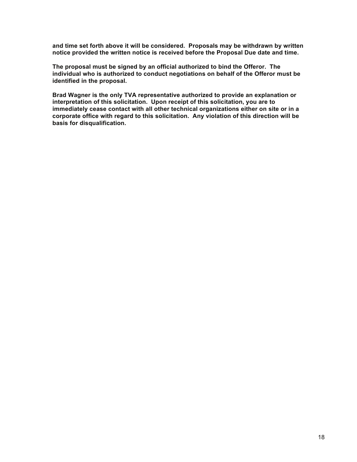**and time set forth above it will be considered. Proposals may be withdrawn by written notice provided the written notice is received before the Proposal Due date and time.**

**The proposal must be signed by an official authorized to bind the Offeror. The**  individual who is authorized to conduct negotiations on behalf of the Offeror must be **identified in the proposal.**

**Brad Wagner is the only TVA representative authorized to provide an explanation or**  interpretation of this solicitation. Upon receipt of this solicitation, you are to **immediately cease contact with all other technical organizations either on site or in a corporate office with regard to this solicitation. Any violation of this direction will be basis for disqualification.**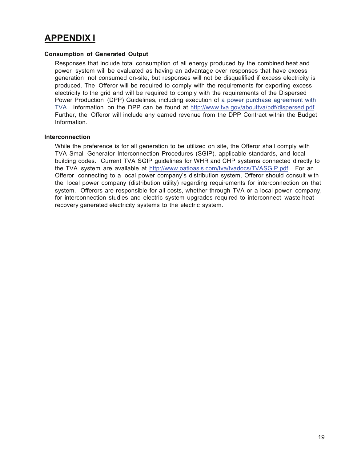# **APPENDIX I**

### **Consumption of Generated Output**

Responses that include total consumption of all energy produced by the combined heat and power system will be evaluated as having an advantage over responses that have excess generation not consumed on-site, but responses will not be disqualified if excess electricity is produced. The Offeror will be required to comply with the requirements for exporting excess electricity to the grid and will be required to comply with the requirements of the Dispersed Power Production (DPP) Guidelines, including execution of a power purchase agreement with TVA. Information on the DPP can be found at http://www.tva.gov/abouttva/pdf/dispersed.pdf. Further, the Offeror will include any earned revenue from the DPP Contract within the Budget Information.

### **Interconnection**

While the preference is for all generation to be utilized on site, the Offeror shall comply with TVA Small Generator Interconnection Procedures (SGIP), applicable standards, and local building codes. Current TVA SGIP guidelines for WHR and CHP systems connected directly to the TVA system are available at http://www.oatioasis.com/tva/tvadocs/TVASGIP.pdf. For an Offeror connecting to a local power company's distribution system, Offeror should consult with the local power company (distribution utility) regarding requirements for interconnection on that system. Offerors are responsible for all costs, whether through TVA or a local power company, for interconnection studies and electric system upgrades required to interconnect waste heat recovery generated electricity systems to the electric system.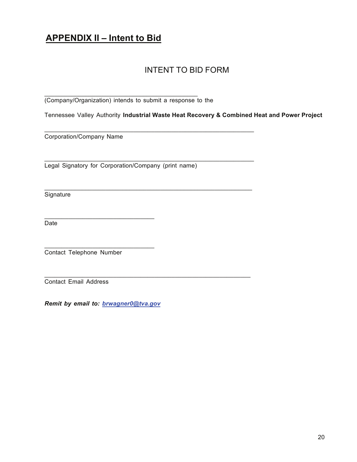# **APPENDIX II – Intent to Bid**

## INTENT TO BID FORM

(Company/Organization) intends to submit a response to the

\_\_\_\_\_\_\_\_\_\_\_\_\_\_\_\_\_\_\_\_\_\_\_\_\_\_\_\_\_\_\_\_\_\_\_\_\_\_\_\_\_\_\_\_\_\_\_\_\_\_\_\_\_\_\_\_\_\_\_\_\_

\_\_\_\_\_\_\_\_\_\_\_\_\_\_\_\_\_\_\_\_\_\_\_\_\_\_\_\_\_\_\_\_\_\_\_\_\_\_\_\_\_\_\_\_\_\_\_\_\_\_\_\_\_\_\_\_\_\_\_\_\_

\_\_\_\_\_\_\_\_\_\_\_\_\_\_\_\_\_\_\_\_\_\_\_\_\_\_\_\_\_\_\_\_\_\_\_\_\_\_\_\_\_\_\_\_\_\_\_\_\_\_\_\_\_\_\_\_\_\_\_\_\_

\_\_\_\_\_\_\_\_\_\_\_\_\_\_\_\_\_\_\_\_\_\_\_\_\_\_\_\_\_\_\_\_\_\_\_\_\_\_\_\_\_\_\_\_\_\_\_\_\_\_\_\_\_\_\_\_\_\_\_\_

\_\_\_\_\_\_\_\_\_\_\_\_\_\_\_\_\_\_\_\_\_\_\_\_\_\_\_\_\_\_\_\_\_\_\_\_\_\_\_\_\_\_\_\_\_

Tennessee Valley Authority **Industrial Waste Heat Recovery & Combined Heat and Power Project**

Corporation/Company Name

Legal Signatory for Corporation/Company (print name)

**Signature** 

**Date** 

Contact Telephone Number

Contact Email Address

*Remit by email to: brwagner0@tva.gov*

\_\_\_\_\_\_\_\_\_\_\_\_\_\_\_\_\_\_\_\_\_\_\_\_\_\_\_\_\_\_\_\_

\_\_\_\_\_\_\_\_\_\_\_\_\_\_\_\_\_\_\_\_\_\_\_\_\_\_\_\_\_\_\_\_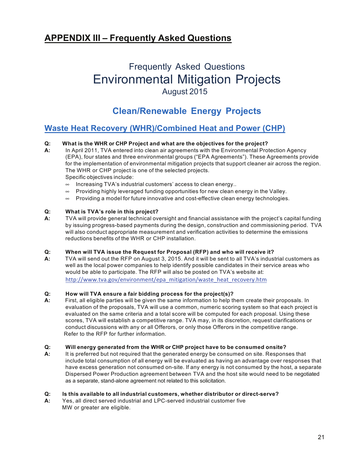# **APPENDIX III – Frequently Asked Questions**

# Frequently Asked Questions Environmental Mitigation Projects August 2015

# **Clean/Renewable Energy Projects**

### **Waste Heat Recovery (WHR)/Combined Heat and Power (CHP)**

# **Q: What is the WHR or CHP Project and what are the objectives for the project?**

- **A:** In April 2011, TVA entered into clean air agreements with the Environmental Protection Agency (EPA), four states and three environmental groups ("EPA Agreements"). These Agreements provide for the implementation of environmental mitigation projects that support cleaner air across the region. The WHR or CHP project is one of the selected projects. Specific objectives include:
	- $\infty$  Increasing TVA's industrial customers' access to clean energy..
	- $\infty$  Providing highly leveraged funding opportunities for new clean energy in the Valley.
	- $\infty$  Providing a model for future innovative and cost-effective clean energy technologies.

### **Q: What is TVA's role in this project?**

**A:** TVA will provide general technical oversight and financial assistance with the project's capital funding by issuing progress-based payments during the design, construction and commissioning period. TVA will also conduct appropriate measurement and verification activities to determine the emissions reductions benefits of the WHR or CHP installation.

#### **Q: When will TVA issue the Request for Proposal (RFP) and who will receive it?**

**A:** TVA will send out the RFP on August 3, 2015. And it will be sent to all TVA's industrial customers as well as the local power companies to help identify possible candidates in their service areas who would be able to participate. The RFP will also be posted on TVA's website at: http://www.tva.gov/environment/epa\_mitigation/waste\_heat\_recovery.htm

#### **Q: How will TVA ensure a fair bidding process for the project(s)?**

**A:** First, all eligible parties will be given the same information to help them create their proposals. In evaluation of the proposals, TVA will use a common, numeric scoring system so that each project is evaluated on the same criteria and a total score will be computed for each proposal. Using these scores, TVA will establish a competitive range. TVA may, in its discretion, request clarifications or conduct discussions with any or all Offerors, or only those Offerors in the competitive range. Refer to the RFP for further information.

#### **Q: Will energy generated from the WHR or CHP project have to be consumed onsite?**

**A:** It is preferred but not required that the generated energy be consumed on site. Responses that include total consumption of all energy will be evaluated as having an advantage over responses that have excess generation not consumed on-site. If any energy is not consumed by the host, a separate Dispersed Power Production agreement between TVA and the host site would need to be negotiated as a separate, stand-alone agreement not related to this solicitation.

#### **Q: Is this available to all industrial customers, whether distributor or direct-serve?**

**A:** Yes, all direct served industrial and LPC-served industrial customer five MW or greater are eligible.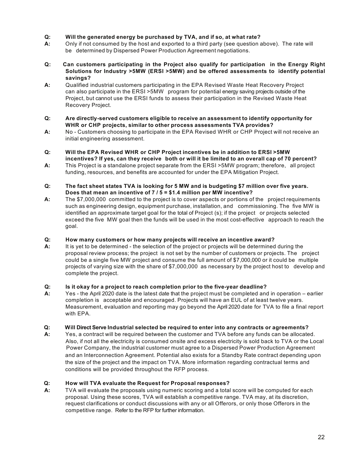### **Q: Will the generated energy be purchased by TVA, and if so, at what rate?**

- **A:** Only if not consumed by the host and exported to a third party (see question above). The rate will be determined by Dispersed Power Production Agreement negotiations.
- **Q: Can customers participating in the Project also qualify for participation in the Energy Right Solutions for Industry >5MW (ERSI >5MW) and be offered assessments to identify potential savings?**
- **A:** Qualified industrial customers participating in the EPA Revised Waste Heat Recovery Project can also participate in the ERSI >5MW program for potential energy saving projects outside of the Project, but cannot use the ERSI funds to assess their participation in the Revised Waste Heat Recovery Project.
- **Q: Are directly-served customers eligible to receive an assessment to identify opportunity for WHR or CHP projects, similar to other process assessments TVA provides?**
- **A:** No Customers choosing to participate in the EPA Revised WHR or CHP Project will not receive an initial engineering assessment.
- **Q: Will the EPA Revised WHR or CHP Project incentives be in addition to ERSI >5MW** incentives? If yes, can they receive both or will it be limited to an overall cap of 70 percent?
- **A:** This Project is a standalone project separate from the ERSI >5MW program;; therefore, all project funding, resources, and benefits are accounted for under the EPA Mitigation Project.
- Q: The fact sheet states TVA is looking for 5 MW and is budgeting \$7 million over five years. **Does that mean an incentive of 7 / 5 = \$1.4 million per MW incentive?**
- **A:** The \$7,000,000 committed to the project is to cover aspects or portions of the project requirements such as engineering design, equipment purchase, installation, and commissioning. The five MW is identified an approximate target goal for the total of Project (s); if the project or projects selected exceed the five MW goal then the funds will be used in the most cost-effective approach to reach the goal.

#### **Q: How many customers or how many projects will receive an incentive award?**

**A:** It is yet to be determined - the selection of the project or projects will be determined during the proposal review process; the project is not set by the number of customers or projects. The project could be a single five MW project and consume the full amount of \$7,000,000 or it could be multiple projects of varying size with the share of \$7,000,000 as necessary by the project host to develop and complete the project.

### **Q: Is it okay for a project to reach completion prior to the five-year deadline?**

**A:** Yes - the April 2020 date is the latest date that the project must be completed and in operation – earlier completion is acceptable and encouraged. Projects will have an EUL of at least twelve years. Measurement, evaluation and reporting may go beyond the April 2020 date for TVA to file a final report with **EPA.** 

#### **Q: Will Direct Serve Industrial selected be required to enter into any contracts or agreements?**

**A:** Yes, a contract will be required between the customer and TVA before any funds can be allocated. Also, if not all the electricity is consumed onsite and excess electricity is sold back to TVA or the Local Power Company, the industrial customer must agree to a Dispersed Power Production Agreement and an Interconnection Agreement. Potential also exists for a Standby Rate contract depending upon the size of the project and the impact on TVA. More information regarding contractual terms and conditions will be provided throughout the RFP process.

### **Q: How will TVA evaluate the Request for Proposal responses?**

**A:** TVA will evaluate the proposals using numeric scoring and a total score will be computed for each proposal. Using these scores, TVA will establish a competitive range. TVA may, at its discretion, request clarifications or conduct discussions with any or all Offerors, or only those Offerors in the competitive range. Refer to the RFP for further information.